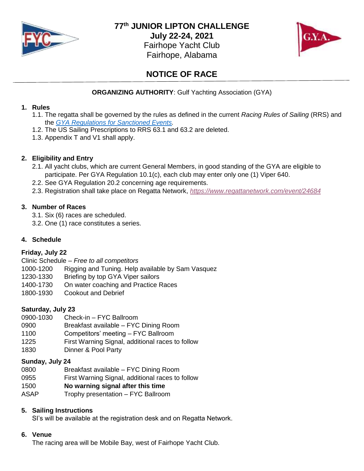

**77 th JUNIOR LIPTON CHALLENGE**

**July 22-24, 2021** Fairhope Yacht Club Fairhope, Alabama



# **NOTICE OF RACE**

# **ORGANIZING AUTHORITY**: Gulf Yachting Association (GYA)

#### **1. Rules**

- 1.1. The regatta shall be governed by the rules as defined in the current *Racing Rules of Sailing* (RRS) and the *[GYA Regulations for Sanctioned Events.](https://www.gya.org/documents/bylawsregs/racingregs.pdf)*
- 1.2. The US Sailing Prescriptions to RRS 63.1 and 63.2 are deleted.
- 1.3. Appendix T and V1 shall apply.

## **2. Eligibility and Entry**

- 2.1. All yacht clubs, which are current General Members, in good standing of the GYA are eligible to participate. Per GYA Regulation 10.1(c), each club may enter only one (1) Viper 640.
- 2.2. See GYA Regulation 20.2 concerning age requirements.
- 2.3. Registration shall take place on Regatta Network, *<https://www.regattanetwork.com/event/24684>*

## **3. Number of Races**

- 3.1. Six (6) races are scheduled.
- 3.2. One (1) race constitutes a series.

# **4. Schedule**

# **Friday, July 22**

Clinic Schedule *– Free to all competitors*

- 1000-1200 Rigging and Tuning. Help available by Sam Vasquez
- 1230-1330 Briefing by top GYA Viper sailors
- 1400-1730 On water coaching and Practice Races
- 1800-1930 Cookout and Debrief

# **Saturday, July 23**

- 0900-1030 Check-in FYC Ballroom
- 0900 Breakfast available FYC Dining Room
- 1100 Competitors' meeting FYC Ballroom
- 1225 First Warning Signal, additional races to follow
- 1830 Dinner & Pool Party

# **Sunday, July 24**

- 0800 Breakfast available FYC Dining Room
- 0955 First Warning Signal, additional races to follow
- 1500 **No warning signal after this time**
- ASAP Trophy presentation FYC Ballroom

### **5. Sailing Instructions**

SI's will be available at the registration desk and on Regatta Network.

#### **6. Venue**

The racing area will be Mobile Bay, west of Fairhope Yacht Club.